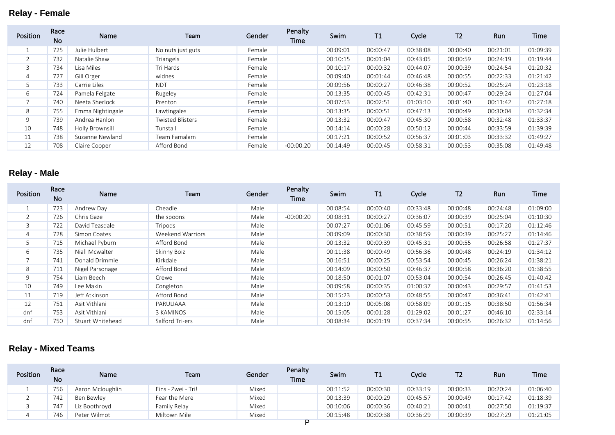## **Relay - Female**

| Position       | Race<br><b>No</b> | Name             | Team                    | Gender | Penalty<br>Time | <b>Swim</b> | T1       | Cycle    | T <sub>2</sub> | Run      | Time     |
|----------------|-------------------|------------------|-------------------------|--------|-----------------|-------------|----------|----------|----------------|----------|----------|
|                | 725               | Julie Hulbert    | No nuts just guts       | Female |                 | 00:09:01    | 00:00:47 | 00:38:08 | 00:00:40       | 00:21:01 | 01:09:39 |
|                | 732               | Natalie Shaw     | Triangels               | Female |                 | 00:10:15    | 00:01:04 | 00:43:05 | 00:00:59       | 00:24:19 | 01:19:44 |
|                | 734               | Lisa Miles       | Tri Hards               | Female |                 | 00:10:17    | 00:00:32 | 00:44:07 | 00:00:39       | 00:24:54 | 01:20:32 |
| $\overline{4}$ | 727               | Gill Orger       | widnes                  | Female |                 | 00:09:40    | 00:01:44 | 00:46:48 | 00:00:55       | 00:22:33 | 01:21:42 |
|                | 733               | Carrie Liles     | <b>NDT</b>              | Female |                 | 00:09:56    | 00:00:27 | 00:46:38 | 00:00:52       | 00:25:24 | 01:23:18 |
| 6              | 724               | Pamela Felgate   | Rugeley                 | Female |                 | 00:13:35    | 00:00:45 | 00:42:31 | 00:00:47       | 00:29:24 | 01:27:04 |
|                | 740               | Neeta Sherlock   | Prenton                 | Female |                 | 00:07:53    | 00:02:51 | 01:03:10 | 00:01:40       | 00:11:42 | 01:27:18 |
| 8              | 755               | Emma Nightingale | Lawtingales             | Female |                 | 00:13:35    | 00:00:51 | 00:47:13 | 00:00:49       | 00:30:04 | 01:32:34 |
| 9              | 739               | Andrea Hanlon    | <b>Twisted Blisters</b> | Female |                 | 00:13:32    | 00:00:47 | 00:45:30 | 00:00:58       | 00:32:48 | 01:33:37 |
| 10             | 748               | Holly Brownsill  | Tunstall                | Female |                 | 00:14:14    | 00:00:28 | 00:50:12 | 00:00:44       | 00:33:59 | 01:39:39 |
| 11             | 738               | Suzanne Newland  | Team Famalam            | Female |                 | 00:17:21    | 00:00:52 | 00:56:37 | 00:01:03       | 00:33:32 | 01:49:27 |
| 12             | 708               | Claire Cooper    | Afford Bond             | Female | $-00:00:20$     | 00:14:49    | 00:00:45 | 00:58:31 | 00:00:53       | 00:35:08 | 01:49:48 |

## **Relay - Male**

| Position | Race<br><b>No</b> | Name             | Team             | Gender | Penalty<br>Time | Swim     | T1       | Cycle    | T <sub>2</sub> | Run      | Time     |
|----------|-------------------|------------------|------------------|--------|-----------------|----------|----------|----------|----------------|----------|----------|
|          | 723               | Andrew Day       | Cheadle          | Male   |                 | 00:08:54 | 00:00:40 | 00:33:48 | 00:00:48       | 00:24:48 | 01:09:00 |
|          | 726               | Chris Gaze       | the spoons       | Male   | $-00:00:20$     | 00:08:31 | 00:00:27 | 00:36:07 | 00:00:39       | 00:25:04 | 01:10:30 |
| 3        | 722               | David Teasdale   | Tripods          | Male   |                 | 00:07:27 | 00:01:06 | 00:45:59 | 00:00:51       | 00:17:20 | 01:12:46 |
| 4        | 728               | Simon Coates     | Weekend Warriors | Male   |                 | 00:09:09 | 00:00:30 | 00:38:59 | 00:00:39       | 00:25:27 | 01:14:46 |
| 5        | 715               | Michael Pyburn   | Afford Bond      | Male   |                 | 00:13:32 | 00:00:39 | 00:45:31 | 00:00:55       | 00:26:58 | 01:27:37 |
| 6        | 735               | Niall Mcwalter   | Skinny Boiz      | Male   |                 | 00:11:38 | 00:00:49 | 00:56:36 | 00:00:48       | 00:24:19 | 01:34:12 |
|          | 741               | Donald Drimmie   | Kirkdale         | Male   |                 | 00:16:51 | 00:00:25 | 00:53:54 | 00:00:45       | 00:26:24 | 01:38:21 |
| 8        | 711               | Nigel Parsonage  | Afford Bond      | Male   |                 | 00:14:09 | 00:00:50 | 00:46:37 | 00:00:58       | 00:36:20 | 01:38:55 |
| 9        | 754               | Liam Beech       | Crewe            | Male   |                 | 00:18:50 | 00:01:07 | 00:53:04 | 00:00:54       | 00:26:45 | 01:40:42 |
| 10       | 749               | Lee Makin        | Congleton        | Male   |                 | 00:09:58 | 00:00:35 | 01:00:37 | 00:00:43       | 00:29:57 | 01:41:53 |
| 11       | 719               | Jeff Atkinson    | Afford Bond      | Male   |                 | 00:15:23 | 00:00:53 | 00:48:55 | 00:00:47       | 00:36:41 | 01:42:41 |
| 12       | 751               | Asit Vithlani    | PARULIAAA        | Male   |                 | 00:13:10 | 00:05:08 | 00:58:09 | 00:01:15       | 00:38:50 | 01:56:34 |
| dnf      | 753               | Asit Vithlani    | 3 KAMINOS        | Male   |                 | 00:15:05 | 00:01:28 | 01:29:02 | 00:01:27       | 00:46:10 | 02:33:14 |
| dnf      | 750               | Stuart Whitehead | Salford Tri-ers  | Male   |                 | 00:08:34 | 00:01:19 | 00:37:34 | 00:00:55       | 00:26:32 | 01:14:56 |

## **Relay - Mixed Teams**

| <b>Position</b> | Race<br><b>No</b> | Name             | Team               | Gender | Penalty<br><b>Time</b> | Swim     | T1       | Cvcle    | Т2       | Run      | <b>Time</b> |
|-----------------|-------------------|------------------|--------------------|--------|------------------------|----------|----------|----------|----------|----------|-------------|
|                 | 756               | Aaron Mcloughlin | Eins - Zwei - Tri! | Mixed  |                        | 00:11:52 | 00:00:30 | 00:33:19 | 00:00:33 | 00:20:24 | 01:06:40    |
| $\sim$          | 742               | Ben Bewley       | Fear the Mere      | Mixed  |                        | 00:13:39 | 00:00:29 | 00:45:57 | 00:00:49 | 00:17:42 | 01:18:39    |
|                 | 747               | Liz Boothrovd    | Family Relay       | Mixed  |                        | 00:10:06 | 00:00:36 | 00:40:21 | 00:00:41 | 00:27:50 | 01:19:37    |
| ∸               | 746               | Peter Wilmot     | Miltown Mile       | Mixed  | -                      | 00:15:48 | 00:00:38 | 00:36:29 | 00:00:39 | 00:27:29 | 01:21:05    |